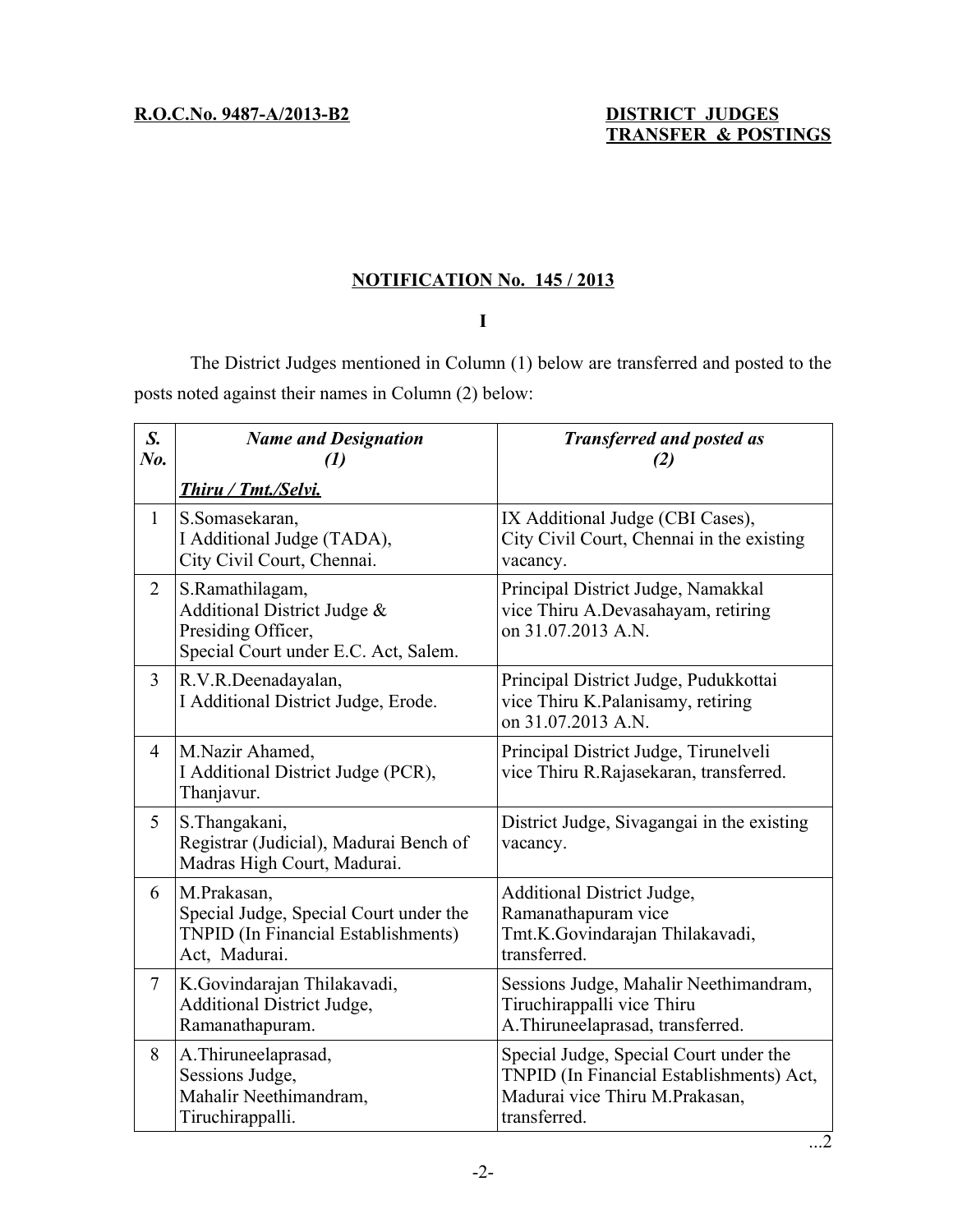## **NOTIFICATION No. 145 / 2013**

## **I**

The District Judges mentioned in Column (1) below are transferred and posted to the posts noted against their names in Column (2) below:

| $S_{\cdot}$<br>No. | <b>Name and Designation</b><br>$\boldsymbol{\mathit{(1)}}$<br>Thiru / Tmt./Selvi.                                    | <b>Transferred and posted as</b><br>(2)                                                                                              |
|--------------------|----------------------------------------------------------------------------------------------------------------------|--------------------------------------------------------------------------------------------------------------------------------------|
| $\mathbf{1}$       | S.Somasekaran,<br>I Additional Judge (TADA),<br>City Civil Court, Chennai.                                           | IX Additional Judge (CBI Cases),<br>City Civil Court, Chennai in the existing<br>vacancy.                                            |
| $\overline{2}$     | S.Ramathilagam,<br>Additional District Judge &<br>Presiding Officer,<br>Special Court under E.C. Act, Salem.         | Principal District Judge, Namakkal<br>vice Thiru A.Devasahayam, retiring<br>on 31.07.2013 A.N.                                       |
| $\overline{3}$     | R.V.R.Deenadayalan,<br>I Additional District Judge, Erode.                                                           | Principal District Judge, Pudukkottai<br>vice Thiru K.Palanisamy, retiring<br>on 31.07.2013 A.N.                                     |
| 4                  | M.Nazir Ahamed,<br>I Additional District Judge (PCR),<br>Thanjavur.                                                  | Principal District Judge, Tirunelveli<br>vice Thiru R.Rajasekaran, transferred.                                                      |
| 5                  | S. Thangakani,<br>Registrar (Judicial), Madurai Bench of<br>Madras High Court, Madurai.                              | District Judge, Sivagangai in the existing<br>vacancy.                                                                               |
| 6                  | M.Prakasan,<br>Special Judge, Special Court under the<br><b>TNPID</b> (In Financial Establishments)<br>Act, Madurai. | Additional District Judge,<br>Ramanathapuram vice<br>Tmt.K.Govindarajan Thilakavadi,<br>transferred.                                 |
| $\tau$             | K.Govindarajan Thilakavadi,<br><b>Additional District Judge,</b><br>Ramanathapuram.                                  | Sessions Judge, Mahalir Neethimandram,<br>Tiruchirappalli vice Thiru<br>A.Thiruneelaprasad, transferred.                             |
| 8                  | A. Thiruneelaprasad,<br>Sessions Judge,<br>Mahalir Neethimandram,<br>Tiruchirappalli.                                | Special Judge, Special Court under the<br>TNPID (In Financial Establishments) Act,<br>Madurai vice Thiru M.Prakasan,<br>transferred. |